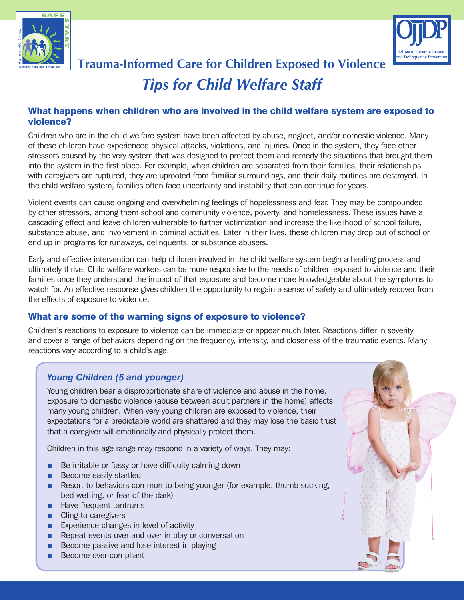



# **Trauma-Informed Care for Children Exposed to Violence** *Tips for Child Welfare Staff*

## What happens when children who are involved in the child welfare system are exposed to violence?

Children who are in the child welfare system have been affected by abuse, neglect, and/or domestic violence. Many of these children have experienced physical attacks, violations, and injuries. Once in the system, they face other stressors caused by the very system that was designed to protect them and remedy the situations that brought them into the system in the first place. For example, when children are separated from their families, their relationships with caregivers are ruptured, they are uprooted from familiar surroundings, and their daily routines are destroyed. In the child welfare system, families often face uncertainty and instability that can continue for years.

Violent events can cause ongoing and overwhelming feelings of hopelessness and fear. They may be compounded by other stressors, among them school and community violence, poverty, and homelessness. These issues have a cascading effect and leave children vulnerable to further victimization and increase the likelihood of school failure, substance abuse, and involvement in criminal activities. Later in their lives, these children may drop out of school or end up in programs for runaways, delinquents, or substance abusers.

Early and effective intervention can help children involved in the child welfare system begin a healing process and ultimately thrive. Child welfare workers can be more responsive to the needs of children exposed to violence and their families once they understand the impact of that exposure and become more knowledgeable about the symptoms to watch for. An effective response gives children the opportunity to regain a sense of safety and ultimately recover from the effects of exposure to violence.

## What are some of the warning signs of exposure to violence?

Children's reactions to exposure to violence can be immediate or appear much later. Reactions differ in severity and cover a range of behaviors depending on the frequency, intensity, and closeness of the traumatic events. Many reactions vary according to a child's age.

# *Young Children (5 and younger)*

Young children bear a disproportionate share of violence and abuse in the home. Exposure to domestic violence (abuse between adult partners in the home) affects many young children. When very young children are exposed to violence, their expectations for a predictable world are shattered and they may lose the basic trust that a caregiver will emotionally and physically protect them.

Children in this age range may respond in a variety of ways. They may:

- Be irritable or fussy or have difficulty calming down
- Become easily startled
- Resort to behaviors common to being younger (for example, thumb sucking, bed wetting, or fear of the dark)
- Have frequent tantrums
- Cling to caregivers
- Experience changes in level of activity
- Repeat events over and over in play or conversation
- Become passive and lose interest in playing
- Become over-compliant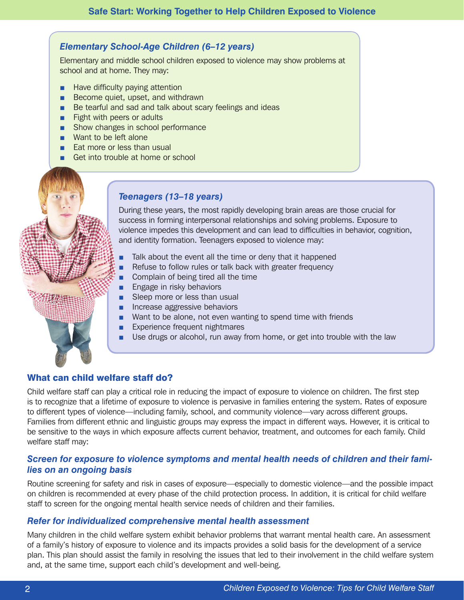# *Elementary School-Age Children (6–12 years)*

Elementary and middle school children exposed to violence may show problems at school and at home. They may:

- Have difficulty paying attention
- Become quiet, upset, and withdrawn
- Be tearful and sad and talk about scary feelings and ideas
- Fight with peers or adults
- Show changes in school performance
- Want to be left alone
- Eat more or less than usual
- Get into trouble at home or school

# *Teenagers (13–18 years)*

During these years, the most rapidly developing brain areas are those crucial for success in forming interpersonal relationships and solving problems. Exposure to violence impedes this development and can lead to difficulties in behavior, cognition, and identity formation. Teenagers exposed to violence may:

- Talk about the event all the time or deny that it happened
- Refuse to follow rules or talk back with greater frequency
- Complain of being tired all the time
- Engage in risky behaviors
- Sleep more or less than usual
- Increase aggressive behaviors
- Want to be alone, not even wanting to spend time with friends
- Experience frequent nightmares
- Use drugs or alcohol, run away from home, or get into trouble with the law

# What can child welfare staff do?

Child welfare staff can play a critical role in reducing the impact of exposure to violence on children. The first step is to recognize that a lifetime of exposure to violence is pervasive in families entering the system. Rates of exposure to different types of violence—including family, school, and community violence—vary across different groups. Families from different ethnic and linguistic groups may express the impact in different ways. However, it is critical to be sensitive to the ways in which exposure affects current behavior, treatment, and outcomes for each family. Child welfare staff may:

## *Screen for exposure to violence symptoms and mental health needs of children and their families on an ongoing basis*

Routine screening for safety and risk in cases of exposure—especially to domestic violence—and the possible impact on children is recommended at every phase of the child protection process. In addition, it is critical for child welfare staff to screen for the ongoing mental health service needs of children and their families.

#### *Refer for individualized comprehensive mental health assessment*

Many children in the child welfare system exhibit behavior problems that warrant mental health care. An assessment of a family's history of exposure to violence and its impacts provides a solid basis for the development of a service plan. This plan should assist the family in resolving the issues that led to their involvement in the child welfare system and, at the same time, support each child's development and well-being.